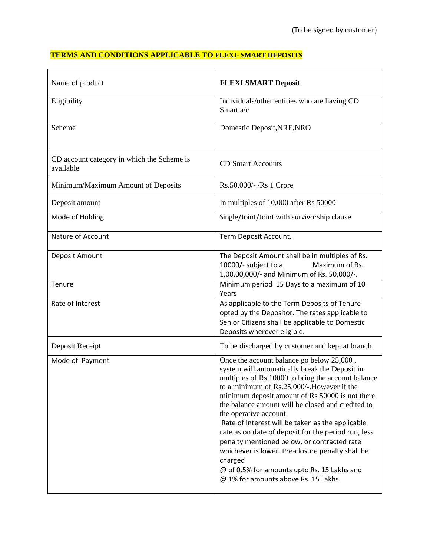## **TERMS AND CONDITIONS APPLICABLE TO FLEXI- SMART DEPOSITS**

| Name of product                                         | <b>FLEXI SMART Deposit</b>                                                                                                                                                                                                                                                                                                                                                                                                                                                                                                                                                                                                                       |
|---------------------------------------------------------|--------------------------------------------------------------------------------------------------------------------------------------------------------------------------------------------------------------------------------------------------------------------------------------------------------------------------------------------------------------------------------------------------------------------------------------------------------------------------------------------------------------------------------------------------------------------------------------------------------------------------------------------------|
| Eligibility                                             | Individuals/other entities who are having CD<br>Smart a/c                                                                                                                                                                                                                                                                                                                                                                                                                                                                                                                                                                                        |
| Scheme                                                  | Domestic Deposit, NRE, NRO                                                                                                                                                                                                                                                                                                                                                                                                                                                                                                                                                                                                                       |
| CD account category in which the Scheme is<br>available | <b>CD Smart Accounts</b>                                                                                                                                                                                                                                                                                                                                                                                                                                                                                                                                                                                                                         |
| Minimum/Maximum Amount of Deposits                      | Rs.50,000/-/Rs 1 Crore                                                                                                                                                                                                                                                                                                                                                                                                                                                                                                                                                                                                                           |
| Deposit amount                                          | In multiples of 10,000 after Rs 50000                                                                                                                                                                                                                                                                                                                                                                                                                                                                                                                                                                                                            |
| Mode of Holding                                         | Single/Joint/Joint with survivorship clause                                                                                                                                                                                                                                                                                                                                                                                                                                                                                                                                                                                                      |
| Nature of Account                                       | Term Deposit Account.                                                                                                                                                                                                                                                                                                                                                                                                                                                                                                                                                                                                                            |
| Deposit Amount                                          | The Deposit Amount shall be in multiples of Rs.<br>10000/- subject to a<br>Maximum of Rs.<br>1,00,00,000/- and Minimum of Rs. 50,000/-.                                                                                                                                                                                                                                                                                                                                                                                                                                                                                                          |
| Tenure                                                  | Minimum period 15 Days to a maximum of 10<br>Years                                                                                                                                                                                                                                                                                                                                                                                                                                                                                                                                                                                               |
| Rate of Interest                                        | As applicable to the Term Deposits of Tenure<br>opted by the Depositor. The rates applicable to<br>Senior Citizens shall be applicable to Domestic<br>Deposits wherever eligible.                                                                                                                                                                                                                                                                                                                                                                                                                                                                |
| Deposit Receipt                                         | To be discharged by customer and kept at branch                                                                                                                                                                                                                                                                                                                                                                                                                                                                                                                                                                                                  |
| Mode of Payment                                         | Once the account balance go below 25,000,<br>system will automatically break the Deposit in<br>multiples of Rs 10000 to bring the account balance<br>to a minimum of Rs.25,000/-.However if the<br>minimum deposit amount of Rs 50000 is not there<br>the balance amount will be closed and credited to<br>the operative account<br>Rate of Interest will be taken as the applicable<br>rate as on date of deposit for the period run, less<br>penalty mentioned below, or contracted rate<br>whichever is lower. Pre-closure penalty shall be<br>charged<br>@ of 0.5% for amounts upto Rs. 15 Lakhs and<br>@ 1% for amounts above Rs. 15 Lakhs. |